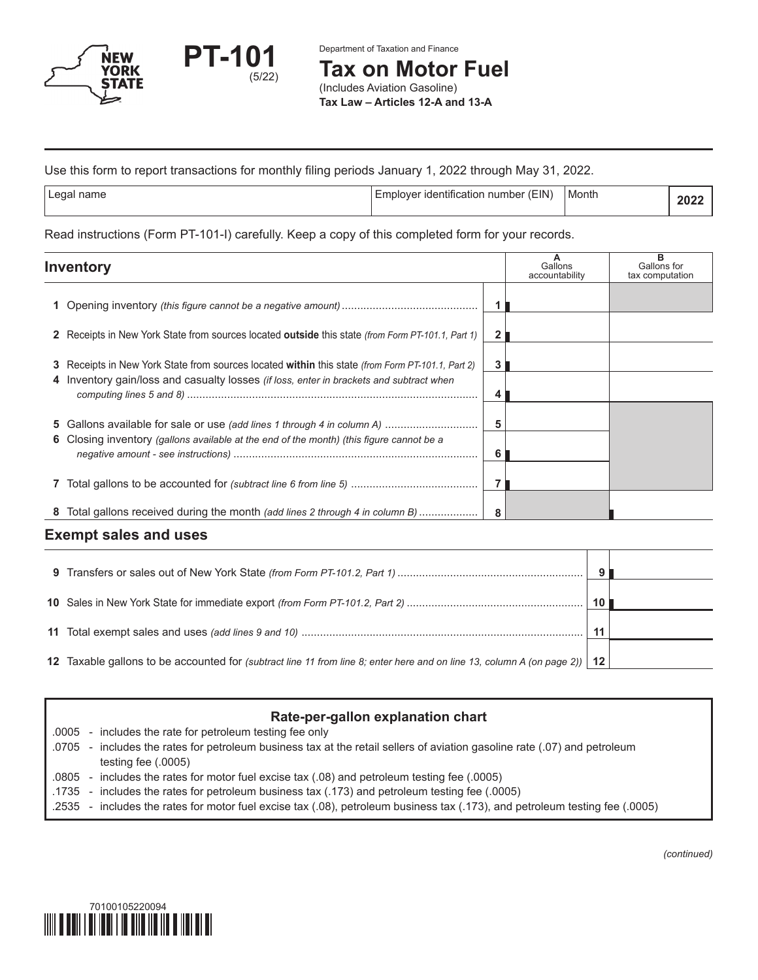

Department of Taxation and Finance

**Tax on Motor Fuel**

(Includes Aviation Gasoline) **Tax Law – Articles 12-A and 13-A**

## Use this form to report transactions for monthly filing periods January 1, 2022 through May 31, 2022.

| ∣Legal name | Emplover identification number (EIN) | Month | つのつ |
|-------------|--------------------------------------|-------|-----|

#### Read instructions (Form PT-101-I) carefully. Keep a copy of this completed form for your records.

| <b>Inventory</b>                                                                                        |   | Gallons<br>accountability | в<br>Gallons for<br>tax computation |
|---------------------------------------------------------------------------------------------------------|---|---------------------------|-------------------------------------|
|                                                                                                         |   |                           |                                     |
| 2 Receipts in New York State from sources located outside this state (from Form PT-101.1, Part 1)       |   |                           |                                     |
| 3 Receipts in New York State from sources located within this state <i>(from Form PT-101.1, Part 2)</i> | 3 |                           |                                     |
| 4 Inventory gain/loss and casualty losses <i>(if loss, enter in brackets and subtract when</i>          |   |                           |                                     |
| 5 Gallons available for sale or use (add lines 1 through 4 in column A)                                 | 5 |                           |                                     |
| 6 Closing inventory (gallons available at the end of the month) (this figure cannot be a                | 6 |                           |                                     |
|                                                                                                         |   |                           |                                     |
| 8 Total gallons received during the month <i>(add lines 2 through 4 in column B)</i>                    | 8 |                           |                                     |

## **Exempt sales and uses**

|                                                                                                                             | 10 <sup>1</sup> |  |
|-----------------------------------------------------------------------------------------------------------------------------|-----------------|--|
|                                                                                                                             |                 |  |
|                                                                                                                             | 11              |  |
|                                                                                                                             |                 |  |
| 12 Taxable gallons to be accounted for (subtract line 11 from line 8; enter here and on line 13, column A (on page 2))   12 |                 |  |

# **Rate-per-gallon explanation chart**

.0005 - includes the rate for petroleum testing fee only

- .0705 includes the rates for petroleum business tax at the retail sellers of aviation gasoline rate (.07) and petroleum testing fee (.0005)
- .0805 includes the rates for motor fuel excise tax (.08) and petroleum testing fee (.0005)
- .1735 includes the rates for petroleum business tax (.173) and petroleum testing fee (.0005)
- .2535 includes the rates for motor fuel excise tax (.08), petroleum business tax (.173), and petroleum testing fee (.0005)



*(continued)*